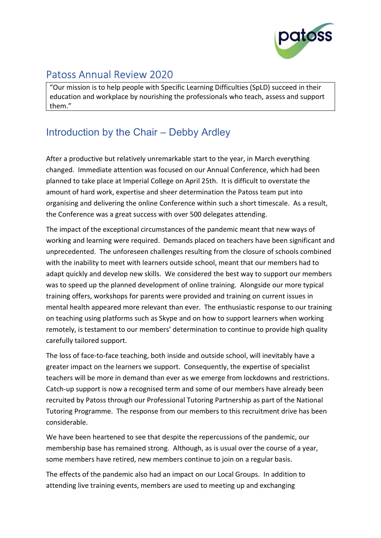

# Patoss Annual Review 2020

"Our mission is to help people with Specific Learning Difficulties (SpLD) succeed in their education and workplace by nourishing the professionals who teach, assess and support them."

## Introduction by the Chair – Debby Ardley

After a productive but relatively unremarkable start to the year, in March everything changed. Immediate attention was focused on our Annual Conference, which had been planned to take place at Imperial College on April 25th. It is difficult to overstate the amount of hard work, expertise and sheer determination the Patoss team put into organising and delivering the online Conference within such a short timescale. As a result, the Conference was a great success with over 500 delegates attending.

The impact of the exceptional circumstances of the pandemic meant that new ways of working and learning were required. Demands placed on teachers have been significant and unprecedented. The unforeseen challenges resulting from the closure of schools combined with the inability to meet with learners outside school, meant that our members had to adapt quickly and develop new skills. We considered the best way to support our members was to speed up the planned development of online training. Alongside our more typical training offers, workshops for parents were provided and training on current issues in mental health appeared more relevant than ever. The enthusiastic response to our training on teaching using platforms such as Skype and on how to support learners when working remotely, is testament to our members' determination to continue to provide high quality carefully tailored support.

The loss of face-to-face teaching, both inside and outside school, will inevitably have a greater impact on the learners we support. Consequently, the expertise of specialist teachers will be more in demand than ever as we emerge from lockdowns and restrictions. Catch-up support is now a recognised term and some of our members have already been recruited by Patoss through our Professional Tutoring Partnership as part of the National Tutoring Programme. The response from our members to this recruitment drive has been considerable.

We have been heartened to see that despite the repercussions of the pandemic, our membership base has remained strong. Although, as is usual over the course of a year, some members have retired, new members continue to join on a regular basis.

The effects of the pandemic also had an impact on our Local Groups. In addition to attending live training events, members are used to meeting up and exchanging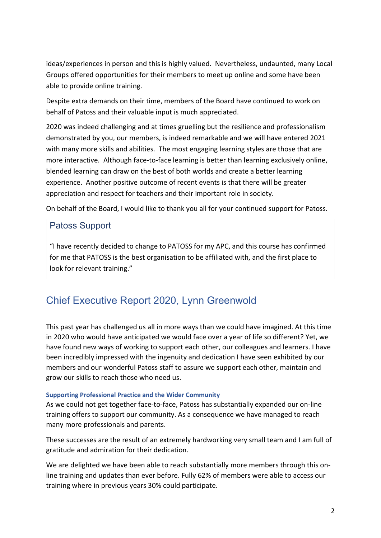ideas/experiences in person and this is highly valued. Nevertheless, undaunted, many Local Groups offered opportunities for their members to meet up online and some have been able to provide online training.

Despite extra demands on their time, members of the Board have continued to work on behalf of Patoss and their valuable input is much appreciated.

2020 was indeed challenging and at times gruelling but the resilience and professionalism demonstrated by you, our members, is indeed remarkable and we will have entered 2021 with many more skills and abilities. The most engaging learning styles are those that are more interactive. Although face-to-face learning is better than learning exclusively online, blended learning can draw on the best of both worlds and create a better learning experience. Another positive outcome of recent events is that there will be greater appreciation and respect for teachers and their important role in society.

On behalf of the Board, I would like to thank you all for your continued support for Patoss.

### Patoss Support

"I have recently decided to change to PATOSS for my APC, and this course has confirmed for me that PATOSS is the best organisation to be affiliated with, and the first place to look for relevant training."

## Chief Executive Report 2020, Lynn Greenwold

This past year has challenged us all in more ways than we could have imagined. At this time in 2020 who would have anticipated we would face over a year of life so different? Yet, we have found new ways of working to support each other, our colleagues and learners. I have been incredibly impressed with the ingenuity and dedication I have seen exhibited by our members and our wonderful Patoss staff to assure we support each other, maintain and grow our skills to reach those who need us.

#### Supporting Professional Practice and the Wider Community

As we could not get together face-to-face, Patoss has substantially expanded our on-line training offers to support our community. As a consequence we have managed to reach many more professionals and parents.

These successes are the result of an extremely hardworking very small team and I am full of gratitude and admiration for their dedication.

We are delighted we have been able to reach substantially more members through this online training and updates than ever before. Fully 62% of members were able to access our training where in previous years 30% could participate.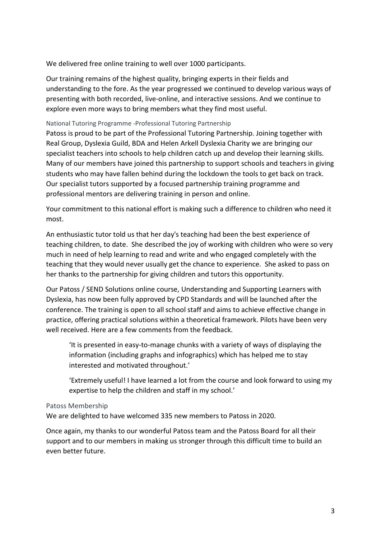We delivered free online training to well over 1000 participants.

Our training remains of the highest quality, bringing experts in their fields and understanding to the fore. As the year progressed we continued to develop various ways of presenting with both recorded, live-online, and interactive sessions. And we continue to explore even more ways to bring members what they find most useful.

#### National Tutoring Programme -Professional Tutoring Partnership

Patoss is proud to be part of the Professional Tutoring Partnership. Joining together with Real Group, Dyslexia Guild, BDA and Helen Arkell Dyslexia Charity we are bringing our specialist teachers into schools to help children catch up and develop their learning skills. Many of our members have joined this partnership to support schools and teachers in giving students who may have fallen behind during the lockdown the tools to get back on track. Our specialist tutors supported by a focused partnership training programme and professional mentors are delivering training in person and online.

Your commitment to this national effort is making such a difference to children who need it most.

An enthusiastic tutor told us that her day's teaching had been the best experience of teaching children, to date. She described the joy of working with children who were so very much in need of help learning to read and write and who engaged completely with the teaching that they would never usually get the chance to experience. She asked to pass on her thanks to the partnership for giving children and tutors this opportunity.

Our Patoss / SEND Solutions online course, Understanding and Supporting Learners with Dyslexia, has now been fully approved by CPD Standards and will be launched after the conference. The training is open to all school staff and aims to achieve effective change in practice, offering practical solutions within a theoretical framework. Pilots have been very well received. Here are a few comments from the feedback.

'It is presented in easy-to-manage chunks with a variety of ways of displaying the information (including graphs and infographics) which has helped me to stay interested and motivated throughout.'

'Extremely useful! I have learned a lot from the course and look forward to using my expertise to help the children and staff in my school.'

#### Patoss Membership

We are delighted to have welcomed 335 new members to Patoss in 2020.

Once again, my thanks to our wonderful Patoss team and the Patoss Board for all their support and to our members in making us stronger through this difficult time to build an even better future.